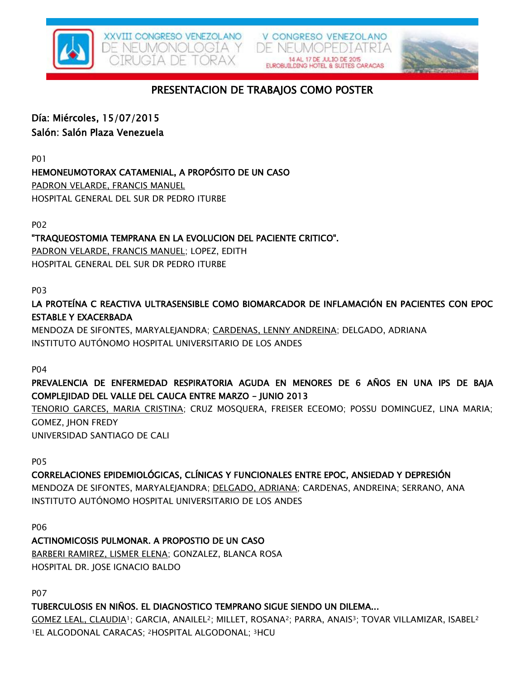

V CONGRESO VENEZOLANO DE NEUMOPEDIATRIA



# PRESENTACION DE TRABAJOS COMO POSTER

# Día: Miércoles, 15/07/2015

## Salón: Salón Plaza Venezuela

P01

# HEMONEUMOTORAX CATAMENIAL, A PROPÓSITO DE UN CASO

PADRON VELARDE, FRANCIS MANUEL HOSPITAL GENERAL DEL SUR DR PEDRO ITURBE

P02

# "TRAQUEOSTOMIA TEMPRANA EN LA EVOLUCION DEL PACIENTE CRITICO".

PADRON VELARDE, FRANCIS MANUEL; LOPEZ, EDITH HOSPITAL GENERAL DEL SUR DR PEDRO ITURBE

## P03

LA PROTEÍNA C REACTIVA ULTRASENSIBLE COMO BIOMARCADOR DE INFLAMACIÓN EN PACIENTES CON EPOC ESTABLE Y EXACERBADA

MENDOZA DE SIFONTES, MARYALEJANDRA; CARDENAS, LENNY ANDREINA; DELGADO, ADRIANA INSTITUTO AUTÓNOMO HOSPITAL UNIVERSITARIO DE LOS ANDES

P04

# PREVALENCIA DE ENFERMEDAD RESPIRATORIA AGUDA EN MENORES DE 6 AÑOS EN UNA IPS DE BAJA COMPLEJIDAD DEL VALLE DEL CAUCA ENTRE MARZO - JUNIO 2013

TENORIO GARCES, MARIA CRISTINA; CRUZ MOSQUERA, FREISER ECEOMO; POSSU DOMINGUEZ, LINA MARIA; GOMEZ, JHON FREDY

UNIVERSIDAD SANTIAGO DE CALI

P05

## CORRELACIONES EPIDEMIOLÓGICAS, CLÍNICAS Y FUNCIONALES ENTRE EPOC, ANSIEDAD Y DEPRESIÓN

MENDOZA DE SIFONTES, MARYALEJANDRA; DELGADO, ADRIANA; CARDENAS, ANDREINA; SERRANO, ANA INSTITUTO AUTÓNOMO HOSPITAL UNIVERSITARIO DE LOS ANDES

P06

## ACTINOMICOSIS PULMONAR. A PROPOSTIO DE UN CASO BARBERI RAMIREZ, LISMER ELENA; GONZALEZ, BLANCA ROSA HOSPITAL DR. JOSE IGNACIO BALDO

P07

## TUBERCULOSIS EN NIÑOS. EL DIAGNOSTICO TEMPRANO SIGUE SIENDO UN DILEMA...

GOMEZ LEAL, CLAUDIA1; GARCIA, ANAILEL2; MILLET, ROSANA2; PARRA, ANAIS3; TOVAR VILLAMIZAR, ISABEL<sup>2</sup> 1EL ALGODONAL CARACAS; 2HOSPITAL ALGODONAL; 3HCU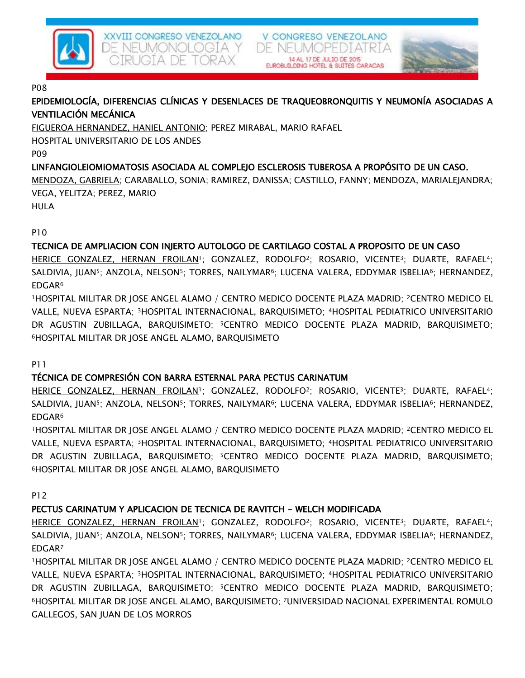

#### XXVIII CONGRESO VENEZOLANO DE NEUMONOLOGÍA Y JGTA DE TORAX

V CONGRESO VENEZOLANO DE NEUMOPEDIATRIA

#### P08

EPIDEMIOLOGÍA, DIFERENCIAS CLÍNICAS Y DESENLACES DE TRAQUEOBRONQUITIS Y NEUMONÍA ASOCIADAS A VENTILACIÓN MECÁNICA

14 AL 17 DE JULIO DE 2015

FIGUEROA HERNANDEZ, HANIEL ANTONIO; PEREZ MIRABAL, MARIO RAFAEL

HOSPITAL UNIVERSITARIO DE LOS ANDES

P09

# LINFANGIOLEIOMIOMATOSIS ASOCIADA AL COMPLEJO ESCLEROSIS TUBEROSA A PROPÓSITO DE UN CASO.

MENDOZA, GABRIELA; CARABALLO, SONIA; RAMIREZ, DANISSA; CASTILLO, FANNY; MENDOZA, MARIALEJANDRA; VEGA, YELITZA; PEREZ, MARIO

HULA

P10

# TECNICA DE AMPLIACION CON INJERTO AUTOLOGO DE CARTILAGO COSTAL A PROPOSITO DE UN CASO

HERICE GONZALEZ, HERNAN FROILAN<sup>1</sup>; GONZALEZ, RODOLFO<sup>2</sup>; ROSARIO, VICENTE<sup>3</sup>; DUARTE, RAFAEL<sup>4</sup>; SALDIVIA, JUAN<sup>5</sup>; ANZOLA, NELSON<sup>5</sup>; TORRES, NAILYMAR<sup>6</sup>; LUCENA VALERA, EDDYMAR ISBELIA<sup>6</sup>; HERNANDEZ, EDGAR<sup>6</sup>

<sup>1</sup>HOSPITAL MILITAR DR JOSE ANGEL ALAMO / CENTRO MEDICO DOCENTE PLAZA MADRID; 2CENTRO MEDICO EL VALLE, NUEVA ESPARTA; 3HOSPITAL INTERNACIONAL, BARQUISIMETO; 4HOSPITAL PEDIATRICO UNIVERSITARIO DR AGUSTIN ZUBILLAGA, BARQUISIMETO; 5CENTRO MEDICO DOCENTE PLAZA MADRID, BARQUISIMETO; <sup>6</sup>HOSPITAL MILITAR DR JOSE ANGEL ALAMO, BARQUISIMETO

P11

# TÉCNICA DE COMPRESIÓN CON BARRA ESTERNAL PARA PECTUS CARINATUM

HERICE GONZALEZ, HERNAN FROILAN<sup>1</sup>; GONZALEZ, RODOLFO<sup>2</sup>; ROSARIO, VICENTE<sup>3</sup>; DUARTE, RAFAEL<sup>4</sup>; SALDIVIA, JUAN<sup>5</sup>; ANZOLA, NELSON<sup>5</sup>; TORRES, NAILYMAR<sup>6</sup>; LUCENA VALERA, EDDYMAR ISBELIA<sup>6</sup>; HERNANDEZ, EDGAR<sup>6</sup>

<sup>1</sup>HOSPITAL MILITAR DR JOSE ANGEL ALAMO / CENTRO MEDICO DOCENTE PLAZA MADRID; 2CENTRO MEDICO EL VALLE, NUEVA ESPARTA; 3HOSPITAL INTERNACIONAL, BARQUISIMETO; 4HOSPITAL PEDIATRICO UNIVERSITARIO DR AGUSTIN ZUBILLAGA, BARQUISIMETO; 5CENTRO MEDICO DOCENTE PLAZA MADRID, BARQUISIMETO; <sup>6</sup>HOSPITAL MILITAR DR JOSE ANGEL ALAMO, BARQUISIMETO

P12

# PECTUS CARINATUM Y APLICACION DE TECNICA DE RAVITCH - WELCH MODIFICADA

HERICE GONZALEZ, HERNAN FROILAN<sup>1</sup>; GONZALEZ, RODOLFO<sup>2</sup>; ROSARIO, VICENTE<sup>3</sup>; DUARTE, RAFAEL<sup>4</sup>; SALDIVIA, JUAN<sup>5</sup>; ANZOLA, NELSON<sup>5</sup>; TORRES, NAILYMAR<sup>6</sup>; LUCENA VALERA, EDDYMAR ISBELIA<sup>6</sup>; HERNANDEZ, EDGAR<sup>7</sup>

<sup>1</sup>HOSPITAL MILITAR DR JOSE ANGEL ALAMO / CENTRO MEDICO DOCENTE PLAZA MADRID; 2CENTRO MEDICO EL VALLE, NUEVA ESPARTA; 3HOSPITAL INTERNACIONAL, BARQUISIMETO; 4HOSPITAL PEDIATRICO UNIVERSITARIO DR AGUSTIN ZUBILLAGA, BARQUISIMETO; <sup>5</sup>CENTRO MEDICO DOCENTE PLAZA MADRID, BARQUISIMETO; <sup>6</sup>HOSPITAL MILITAR DR JOSE ANGEL ALAMO, BARQUISIMETO; 7UNIVERSIDAD NACIONAL EXPERIMENTAL ROMULO GALLEGOS, SAN JUAN DE LOS MORROS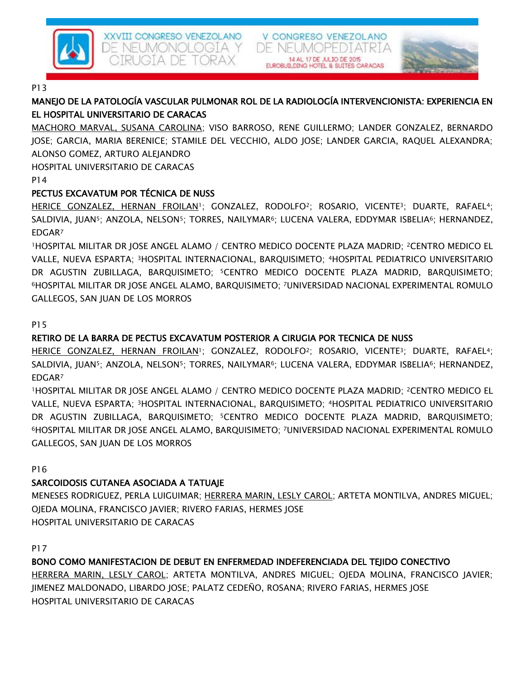

#### P13

# MANEJO DE LA PATOLOGÍA VASCULAR PULMONAR ROL DE LA RADIOLOGÍA INTERVENCIONISTA: EXPERIENCIA EN EL HOSPITAL UNIVERSITARIO DE CARACAS

DE NEL

V CONGRESO VENEZOLANO

 $M$ 

MACHORO MARVAL, SUSANA CAROLINA; VISO BARROSO, RENE GUILLERMO; LANDER GONZALEZ, BERNARDO JOSE; GARCIA, MARIA BERENICE; STAMILE DEL VECCHIO, ALDO JOSE; LANDER GARCIA, RAQUEL ALEXANDRA; ALONSO GOMEZ, ARTURO ALEJANDRO

HOSPITAL UNIVERSITARIO DE CARACAS

P14

## PECTUS EXCAVATUM POR TÉCNICA DE NUSS

HERICE GONZALEZ, HERNAN FROILAN<sup>1</sup>; GONZALEZ, RODOLFO<sup>2</sup>; ROSARIO, VICENTE<sup>3</sup>; DUARTE, RAFAEL<sup>4</sup>; SALDIVIA, JUAN<sup>5</sup>; ANZOLA, NELSON<sup>5</sup>; TORRES, NAILYMAR<sup>6</sup>; LUCENA VALERA, EDDYMAR ISBELIA<sup>6</sup>; HERNANDEZ, EDGAR<sup>7</sup>

<sup>1</sup>HOSPITAL MILITAR DR JOSE ANGEL ALAMO / CENTRO MEDICO DOCENTE PLAZA MADRID; 2CENTRO MEDICO EL VALLE, NUEVA ESPARTA; 3HOSPITAL INTERNACIONAL, BARQUISIMETO; 4HOSPITAL PEDIATRICO UNIVERSITARIO DR AGUSTIN ZUBILLAGA, BARQUISIMETO; 5CENTRO MEDICO DOCENTE PLAZA MADRID, BARQUISIMETO; <sup>6</sup>HOSPITAL MILITAR DR JOSE ANGEL ALAMO, BARQUISIMETO; 7UNIVERSIDAD NACIONAL EXPERIMENTAL ROMULO GALLEGOS, SAN JUAN DE LOS MORROS

#### P15

## RETIRO DE LA BARRA DE PECTUS EXCAVATUM POSTERIOR A CIRUGIA POR TECNICA DE NUSS

HERICE GONZALEZ, HERNAN FROILAN<sup>1</sup>; GONZALEZ, RODOLFO<sup>2</sup>; ROSARIO, VICENTE<sup>3</sup>; DUARTE, RAFAEL<sup>4</sup>; SALDIVIA, JUAN<sup>5</sup>; ANZOLA, NELSON<sup>5</sup>; TORRES, NAILYMAR<sup>6</sup>; LUCENA VALERA, EDDYMAR ISBELIA<sup>6</sup>; HERNANDEZ, EDGAR<sup>7</sup>

<sup>1</sup>HOSPITAL MILITAR DR JOSE ANGEL ALAMO / CENTRO MEDICO DOCENTE PLAZA MADRID; 2CENTRO MEDICO EL VALLE, NUEVA ESPARTA; 3HOSPITAL INTERNACIONAL, BARQUISIMETO; 4HOSPITAL PEDIATRICO UNIVERSITARIO DR AGUSTIN ZUBILLAGA, BARQUISIMETO; 5CENTRO MEDICO DOCENTE PLAZA MADRID, BARQUISIMETO; <sup>6</sup>HOSPITAL MILITAR DR JOSE ANGEL ALAMO, BARQUISIMETO; 7UNIVERSIDAD NACIONAL EXPERIMENTAL ROMULO GALLEGOS, SAN JUAN DE LOS MORROS

P16

## SARCOIDOSIS CUTANEA ASOCIADA A TATUAJE

MENESES RODRIGUEZ, PERLA LUIGUIMAR; HERRERA MARIN, LESLY CAROL; ARTETA MONTILVA, ANDRES MIGUEL; OJEDA MOLINA, FRANCISCO JAVIER; RIVERO FARIAS, HERMES JOSE HOSPITAL UNIVERSITARIO DE CARACAS

P17

## BONO COMO MANIFESTACION DE DEBUT EN ENFERMEDAD INDEFERENCIADA DEL TEJIDO CONECTIVO

HERRERA MARIN, LESLY CAROL; ARTETA MONTILVA, ANDRES MIGUEL; OJEDA MOLINA, FRANCISCO JAVIER; JIMENEZ MALDONADO, LIBARDO JOSE; PALATZ CEDEÑO, ROSANA; RIVERO FARIAS, HERMES JOSE HOSPITAL UNIVERSITARIO DE CARACAS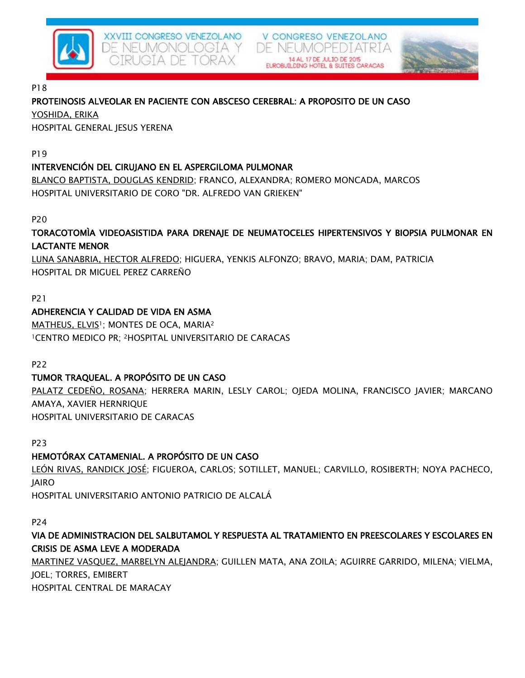

XXVIII CONGRESO VENEZOLANO DE NEUMONOLOGÍA Y JGTA DE TORAX

#### P18

## PROTEINOSIS ALVEOLAR EN PACIENTE CON ABSCESO CEREBRAL: A PROPOSITO DE UN CASO

YOSHIDA, ERIKA

HOSPITAL GENERAL JESUS YERENA

P19

## INTERVENCIÓN DEL CIRUJANO EN EL ASPERGILOMA PULMONAR

BLANCO BAPTISTA, DOUGLAS KENDRID; FRANCO, ALEXANDRA; ROMERO MONCADA, MARCOS HOSPITAL UNIVERSITARIO DE CORO "DR. ALFREDO VAN GRIEKEN"

### P20

## TORACOTOMÌA VIDEOASISTIDA PARA DRENAJE DE NEUMATOCELES HIPERTENSIVOS Y BIOPSIA PULMONAR EN LACTANTE MENOR

V CONGRESO VENEZOLANO

DE NEUMOPEI

LUNA SANABRIA, HECTOR ALFREDO; HIGUERA, YENKIS ALFONZO; BRAVO, MARIA; DAM, PATRICIA HOSPITAL DR MIGUEL PEREZ CARREÑO

#### P21

## ADHERENCIA Y CALIDAD DE VIDA EN ASMA

MATHEUS, ELVIS<sup>1</sup>; MONTES DE OCA, MARIA<sup>2</sup> <sup>1</sup>CENTRO MEDICO PR; 2HOSPITAL UNIVERSITARIO DE CARACAS

P22

## TUMOR TRAQUEAL. A PROPÓSITO DE UN CASO

PALATZ CEDEÑO, ROSANA; HERRERA MARIN, LESLY CAROL; OJEDA MOLINA, FRANCISCO JAVIER; MARCANO AMAYA, XAVIER HERNRIQUE HOSPITAL UNIVERSITARIO DE CARACAS

P23

## HEMOTÓRAX CATAMENIAL. A PROPÓSITO DE UN CASO

LEÓN RIVAS, RANDICK JOSÉ; FIGUEROA, CARLOS; SOTILLET, MANUEL; CARVILLO, ROSIBERTH; NOYA PACHECO, JAIRO

HOSPITAL UNIVERSITARIO ANTONIO PATRICIO DE ALCALÁ

#### P24

# VIA DE ADMINISTRACION DEL SALBUTAMOL Y RESPUESTA AL TRATAMIENTO EN PREESCOLARES Y ESCOLARES EN CRISIS DE ASMA LEVE A MODERADA

MARTINEZ VASQUEZ, MARBELYN ALEJANDRA; GUILLEN MATA, ANA ZOILA; AGUIRRE GARRIDO, MILENA; VIELMA, JOEL; TORRES, EMIBERT

HOSPITAL CENTRAL DE MARACAY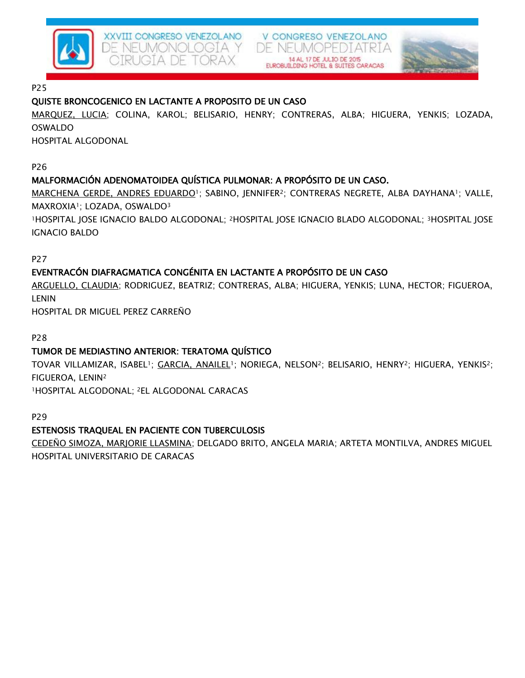

## XXVIII CONGRESO VENEZOLANO DE NEUMONOLOGÍA Y IGTA DE TORAX

V CONGRESO VENEZOLANO DE NEUMOPE



P25

## QUISTE BRONCOGENICO EN LACTANTE A PROPOSITO DE UN CASO

MARQUEZ, LUCIA; COLINA, KAROL; BELISARIO, HENRY; CONTRERAS, ALBA; HIGUERA, YENKIS; LOZADA, OSWALDO

HOSPITAL ALGODONAL

P26

# MALFORMACIÓN ADENOMATOIDEA QUÍSTICA PULMONAR: A PROPÓSITO DE UN CASO.

MARCHENA GERDE, ANDRES EDUARDO<sup>1</sup>; SABINO, JENNIFER<sup>2</sup>; CONTRERAS NEGRETE, ALBA DAYHANA<sup>1</sup>; VALLE, MAXROXIA1; LOZADA, OSWALDO<sup>3</sup>

<sup>1</sup>HOSPITAL JOSE IGNACIO BALDO ALGODONAL; 2HOSPITAL JOSE IGNACIO BLADO ALGODONAL; 3HOSPITAL JOSE IGNACIO BALDO

P27

# EVENTRACÓN DIAFRAGMATICA CONGÉNITA EN LACTANTE A PROPÓSITO DE UN CASO

ARGUELLO, CLAUDIA; RODRIGUEZ, BEATRIZ; CONTRERAS, ALBA; HIGUERA, YENKIS; LUNA, HECTOR; FIGUEROA, LENIN

HOSPITAL DR MIGUEL PEREZ CARREÑO

P28

## TUMOR DE MEDIASTINO ANTERIOR: TERATOMA QUÍSTICO

TOVAR VILLAMIZAR, ISABEL1; GARCIA, ANAILEL1; NORIEGA, NELSON2; BELISARIO, HENRY2; HIGUERA, YENKIS2; FIGUEROA, LENIN<sup>2</sup>

<sup>1</sup>HOSPITAL ALGODONAL; 2EL ALGODONAL CARACAS

P29

## ESTENOSIS TRAQUEAL EN PACIENTE CON TUBERCULOSIS

CEDEÑO SIMOZA, MARJORIE LLASMINA; DELGADO BRITO, ANGELA MARIA; ARTETA MONTILVA, ANDRES MIGUEL HOSPITAL UNIVERSITARIO DE CARACAS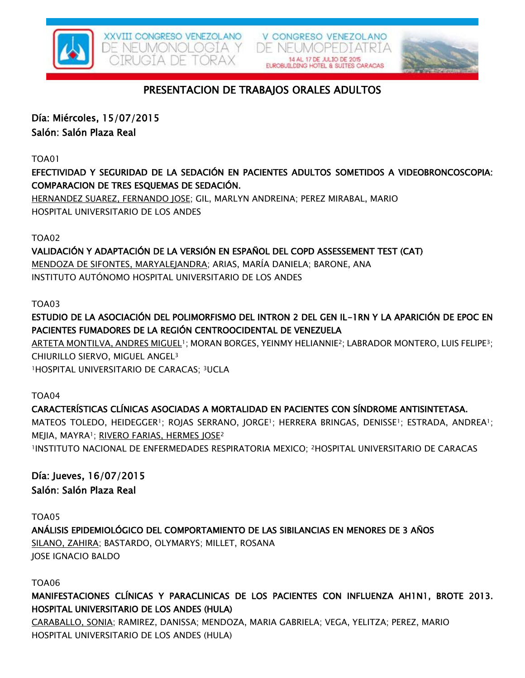

V CONGRESO VENEZOLANO DE NEUMOPEDIATRIA



# PRESENTACION DE TRABAJOS ORALES ADULTOS

Día: Miércoles, 15/07/2015

Salón: Salón Plaza Real

TOA01

EFECTIVIDAD Y SEGURIDAD DE LA SEDACIÓN EN PACIENTES ADULTOS SOMETIDOS A VIDEOBRONCOSCOPIA: COMPARACION DE TRES ESQUEMAS DE SEDACIÓN.

HERNANDEZ SUAREZ, FERNANDO JOSE; GIL, MARLYN ANDREINA; PEREZ MIRABAL, MARIO HOSPITAL UNIVERSITARIO DE LOS ANDES

TOA02

VALIDACIÓN Y ADAPTACIÓN DE LA VERSIÓN EN ESPAÑOL DEL COPD ASSESSEMENT TEST (CAT) MENDOZA DE SIFONTES, MARYALEJANDRA; ARIAS, MARÍA DANIELA; BARONE, ANA INSTITUTO AUTÓNOMO HOSPITAL UNIVERSITARIO DE LOS ANDES

TOA03

ESTUDIO DE LA ASOCIACIÓN DEL POLIMORFISMO DEL INTRON 2 DEL GEN IL-1RN Y LA APARICIÓN DE EPOC EN PACIENTES FUMADORES DE LA REGIÓN CENTROOCIDENTAL DE VENEZUELA

ARTETA MONTILVA, ANDRES MIGUEL<sup>1</sup>; MORAN BORGES, YEINMY HELIANNIE<sup>2</sup>; LABRADOR MONTERO, LUIS FELIPE<sup>3</sup>; CHIURILLO SIERVO, MIGUEL ANGEL<sup>3</sup> <sup>1</sup>HOSPITAL UNIVERSITARIO DE CARACAS; 3UCLA

TOA04

CARACTERÍSTICAS CLÍNICAS ASOCIADAS A MORTALIDAD EN PACIENTES CON SÍNDROME ANTISINTETASA. MATEOS TOLEDO, HEIDEGGER<sup>1</sup>; ROJAS SERRANO, JORGE<sup>1</sup>; HERRERA BRINGAS, DENISSE<sup>1</sup>; ESTRADA, ANDREA<sup>1</sup>; MEJIA, MAYRA1; RIVERO FARIAS, HERMES JOSE<sup>2</sup> <sup>1</sup>INSTITUTO NACIONAL DE ENFERMEDADES RESPIRATORIA MEXICO; 2HOSPITAL UNIVERSITARIO DE CARACAS

Día: Jueves, 16/07/2015 Salón: Salón Plaza Real

TOA05

ANÁLISIS EPIDEMIOLÓGICO DEL COMPORTAMIENTO DE LAS SIBILANCIAS EN MENORES DE 3 AÑOS SILANO, ZAHIRA; BASTARDO, OLYMARYS; MILLET, ROSANA JOSE IGNACIO BALDO

TOA06

MANIFESTACIONES CLÍNICAS Y PARACLINICAS DE LOS PACIENTES CON INFLUENZA AH1N1, BROTE 2013. HOSPITAL UNIVERSITARIO DE LOS ANDES (HULA)

CARABALLO, SONIA; RAMIREZ, DANISSA; MENDOZA, MARIA GABRIELA; VEGA, YELITZA; PEREZ, MARIO HOSPITAL UNIVERSITARIO DE LOS ANDES (HULA)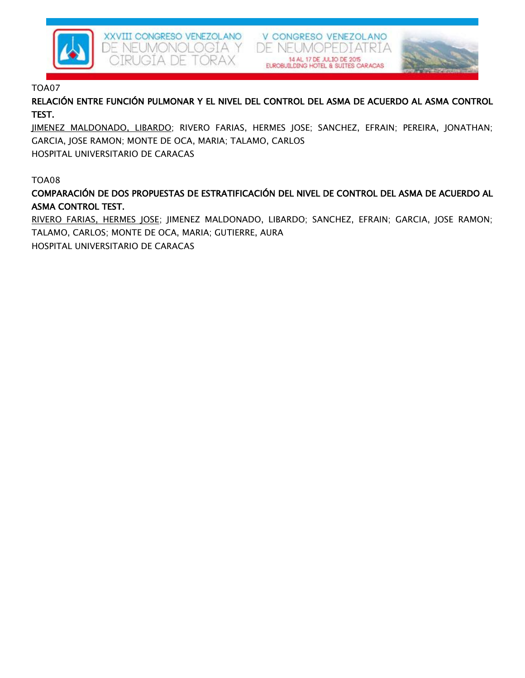

XXVIII CONGRESO VENEZOLANO DE NEUMONOLOGÍA Y IQTA DE TORAX

V CONGRESO VENEZOLANO DE NEUMOPE 14 AL 17 DE JULIO DE 2015



#### TOA07

RELACIÓN ENTRE FUNCIÓN PULMONAR Y EL NIVEL DEL CONTROL DEL ASMA DE ACUERDO AL ASMA CONTROL TEST.

JIMENEZ MALDONADO, LIBARDO; RIVERO FARIAS, HERMES JOSE; SANCHEZ, EFRAIN; PEREIRA, JONATHAN; GARCIA, JOSE RAMON; MONTE DE OCA, MARIA; TALAMO, CARLOS

HOSPITAL UNIVERSITARIO DE CARACAS

#### TOA08

COMPARACIÓN DE DOS PROPUESTAS DE ESTRATIFICACIÓN DEL NIVEL DE CONTROL DEL ASMA DE ACUERDO AL ASMA CONTROL TEST.

RIVERO FARIAS, HERMES JOSE; JIMENEZ MALDONADO, LIBARDO; SANCHEZ, EFRAIN; GARCIA, JOSE RAMON; TALAMO, CARLOS; MONTE DE OCA, MARIA; GUTIERRE, AURA

HOSPITAL UNIVERSITARIO DE CARACAS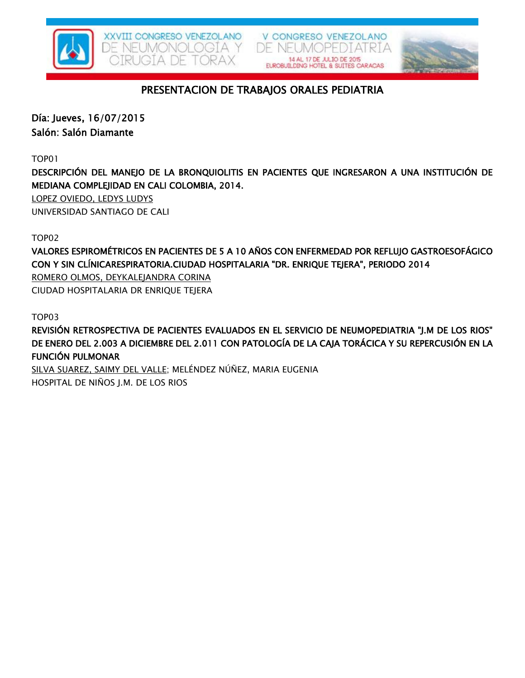





# PRESENTACION DE TRABAJOS ORALES PEDIATRIA

Día: Jueves, 16/07/2015 Salón: Salón Diamante

TOP01

DESCRIPCIÓN DEL MANEJO DE LA BRONQUIOLITIS EN PACIENTES QUE INGRESARON A UNA INSTITUCIÓN DE MEDIANA COMPLEJIDAD EN CALI COLOMBIA, 2014.

LOPEZ OVIEDO, LEDYS LUDYS UNIVERSIDAD SANTIAGO DE CALI

TOP02

VALORES ESPIROMÉTRICOS EN PACIENTES DE 5 A 10 AÑOS CON ENFERMEDAD POR REFLUJO GASTROESOFÁGICO CON Y SIN CLÍNICARESPIRATORIA.CIUDAD HOSPITALARIA "DR. ENRIQUE TEJERA", PERIODO 2014 ROMERO OLMOS, DEYKALEJANDRA CORINA

CIUDAD HOSPITALARIA DR ENRIQUE TEJERA

TOP03

REVISIÓN RETROSPECTIVA DE PACIENTES EVALUADOS EN EL SERVICIO DE NEUMOPEDIATRIA "J.M DE LOS RIOS" DE ENERO DEL 2.003 A DICIEMBRE DEL 2.011 CON PATOLOGÍA DE LA CAJA TORÁCICA Y SU REPERCUSIÓN EN LA FUNCIÓN PULMONAR

SILVA SUAREZ, SAIMY DEL VALLE; MELÉNDEZ NÚÑEZ, MARIA EUGENIA HOSPITAL DE NIÑOS J.M. DE LOS RIOS